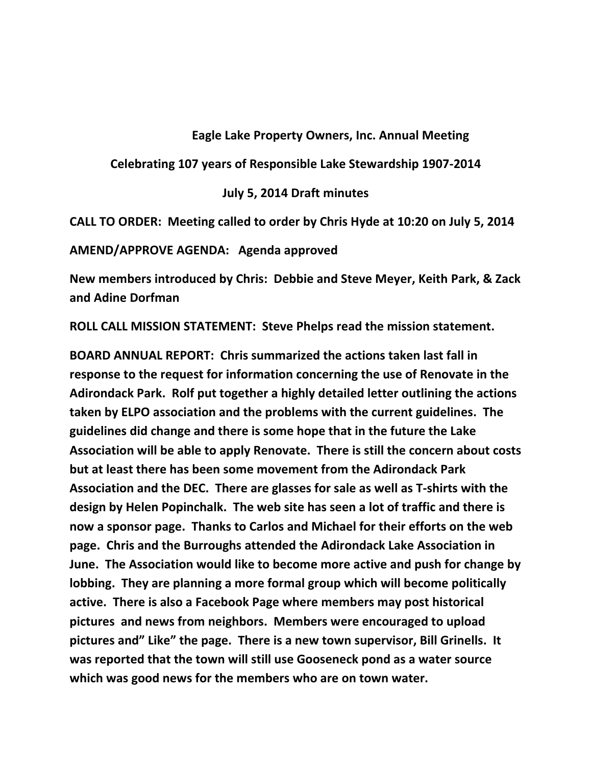## **Eagle Lake Property Owners, Inc. Annual Meeting**

**Celebrating 107 years of Responsible Lake Stewardship 1907-2014**

## **July 5, 2014 Draft minutes**

**CALL TO ORDER: Meeting called to order by Chris Hyde at 10:20 on July 5, 2014**

**AMEND/APPROVE AGENDA: Agenda approved**

**New members introduced by Chris: Debbie and Steve Meyer, Keith Park, & Zack and Adine Dorfman**

**ROLL CALL MISSION STATEMENT: Steve Phelps read the mission statement.** 

**BOARD ANNUAL REPORT: Chris summarized the actions taken last fall in response to the request for information concerning the use of Renovate in the Adirondack Park. Rolf put together a highly detailed letter outlining the actions taken by ELPO association and the problems with the current guidelines. The guidelines did change and there is some hope that in the future the Lake Association will be able to apply Renovate. There is still the concern about costs but at least there has been some movement from the Adirondack Park Association and the DEC. There are glasses for sale as well as T-shirts with the design by Helen Popinchalk. The web site has seen a lot of traffic and there is now a sponsor page. Thanks to Carlos and Michael for their efforts on the web page. Chris and the Burroughs attended the Adirondack Lake Association in June. The Association would like to become more active and push for change by lobbing. They are planning a more formal group which will become politically active. There is also a Facebook Page where members may post historical pictures and news from neighbors. Members were encouraged to upload pictures and" Like" the page. There is a new town supervisor, Bill Grinells. It was reported that the town will still use Gooseneck pond as a water source which was good news for the members who are on town water.**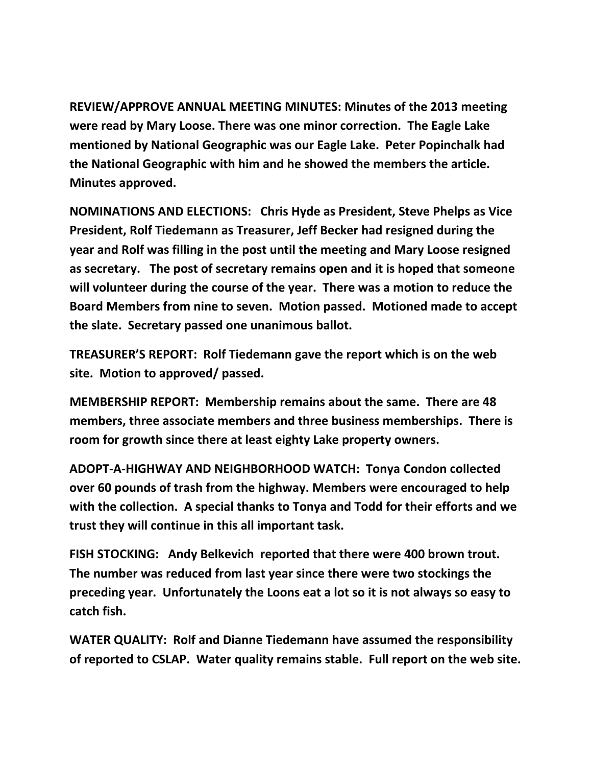**REVIEW/APPROVE ANNUAL MEETING MINUTES: Minutes of the 2013 meeting were read by Mary Loose. There was one minor correction. The Eagle Lake mentioned by National Geographic was our Eagle Lake. Peter Popinchalk had the National Geographic with him and he showed the members the article. Minutes approved.** 

**NOMINATIONS AND ELECTIONS: Chris Hyde as President, Steve Phelps as Vice President, Rolf Tiedemann as Treasurer, Jeff Becker had resigned during the year and Rolf was filling in the post until the meeting and Mary Loose resigned as secretary. The post of secretary remains open and it is hoped that someone will volunteer during the course of the year. There was a motion to reduce the Board Members from nine to seven. Motion passed. Motioned made to accept the slate. Secretary passed one unanimous ballot.** 

**TREASURER'S REPORT: Rolf Tiedemann gave the report which is on the web site. Motion to approved/ passed.**

**MEMBERSHIP REPORT: Membership remains about the same. There are 48 members, three associate members and three business memberships. There is room for growth since there at least eighty Lake property owners.**

**ADOPT-A-HIGHWAY AND NEIGHBORHOOD WATCH: Tonya Condon collected over 60 pounds of trash from the highway. Members were encouraged to help with the collection. A special thanks to Tonya and Todd for their efforts and we trust they will continue in this all important task.**

**FISH STOCKING: Andy Belkevich reported that there were 400 brown trout. The number was reduced from last year since there were two stockings the preceding year. Unfortunately the Loons eat a lot so it is not always so easy to catch fish.**

**WATER QUALITY: Rolf and Dianne Tiedemann have assumed the responsibility of reported to CSLAP. Water quality remains stable. Full report on the web site.**